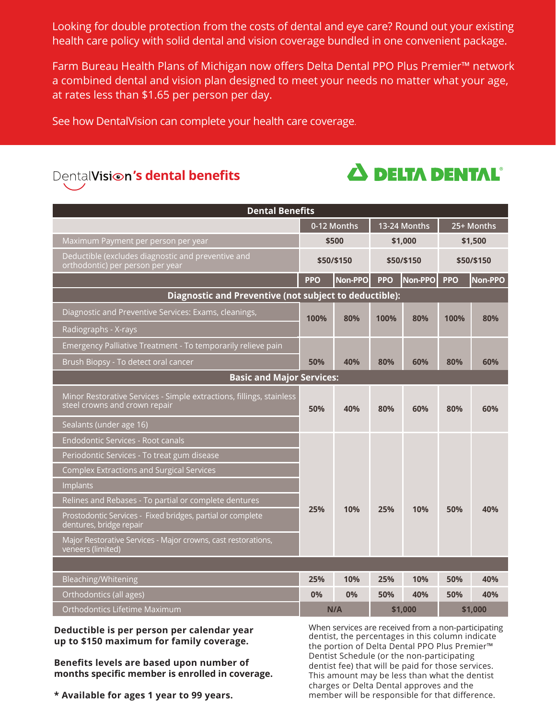Looking for double protection from the costs of dental and eye care? Round out your existing health care policy with solid dental and vision coverage bundled in one convenient package.

Farm Bureau Health Plans of Michigan now offers Delta Dental PPO Plus Premier™ network a combined dental and vision plan designed to meet your needs no matter what your age, at rates less than \$1.65 per person per day.

See how DentalVision can complete your health care coverage.

## DentalVisi<sup>on's</sup> dental benefits



| <b>Dental Benefits</b>                                                                                |             |                  |              |         |            |         |  |  |  |  |
|-------------------------------------------------------------------------------------------------------|-------------|------------------|--------------|---------|------------|---------|--|--|--|--|
|                                                                                                       | 0-12 Months |                  | 13-24 Months |         | 25+ Months |         |  |  |  |  |
| Maximum Payment per person per year                                                                   |             | \$500<br>\$1,000 |              | \$1,500 |            |         |  |  |  |  |
| Deductible (excludes diagnostic and preventive and<br>orthodontic) per person per year                | \$50/\$150  |                  | \$50/\$150   |         | \$50/\$150 |         |  |  |  |  |
|                                                                                                       | <b>PPO</b>  | Non-PPO          | <b>PPO</b>   | Non-PPO | <b>PPO</b> | Non-PPO |  |  |  |  |
| Diagnostic and Preventive (not subject to deductible):                                                |             |                  |              |         |            |         |  |  |  |  |
| Diagnostic and Preventive Services: Exams, cleanings,                                                 | 100%<br>80% |                  | 100%         | 80%     | 100%       | 80%     |  |  |  |  |
| Radiographs - X-rays                                                                                  |             |                  |              |         |            |         |  |  |  |  |
| Emergency Palliative Treatment - To temporarily relieve pain                                          |             |                  |              |         |            |         |  |  |  |  |
| Brush Biopsy - To detect oral cancer                                                                  | 50%         | 40%              | 80%          | 60%     | 80%        | 60%     |  |  |  |  |
| <b>Basic and Major Services:</b>                                                                      |             |                  |              |         |            |         |  |  |  |  |
| Minor Restorative Services - Simple extractions, fillings, stainless<br>steel crowns and crown repair | 50%         | 40%              | 80%          | 60%     | 80%        | 60%     |  |  |  |  |
| Sealants (under age 16)                                                                               |             |                  |              |         |            |         |  |  |  |  |
| Endodontic Services - Root canals                                                                     |             |                  |              |         |            |         |  |  |  |  |
| Periodontic Services - To treat gum disease                                                           |             |                  |              |         |            |         |  |  |  |  |
| <b>Complex Extractions and Surgical Services</b>                                                      |             |                  |              |         |            |         |  |  |  |  |
| Implants                                                                                              |             |                  |              |         |            |         |  |  |  |  |
| Relines and Rebases - To partial or complete dentures                                                 |             | 10%              | 25%          | 10%     | 50%        | 40%     |  |  |  |  |
| Prostodontic Services - Fixed bridges, partial or complete<br>dentures, bridge repair                 | 25%         |                  |              |         |            |         |  |  |  |  |
| Major Restorative Services - Major crowns, cast restorations,<br>veneers (limited)                    |             |                  |              |         |            |         |  |  |  |  |
|                                                                                                       |             |                  |              |         |            |         |  |  |  |  |
| Bleaching/Whitening                                                                                   | 25%         | 10%              | 25%          | 10%     | 50%        | 40%     |  |  |  |  |
| Orthodontics (all ages)                                                                               | 0%          | 0%               | 50%          | 40%     | 50%        | 40%     |  |  |  |  |
| Orthodontics Lifetime Maximum                                                                         | N/A         |                  | \$1,000      |         | \$1,000    |         |  |  |  |  |

**Deductible is per person per calendar year up to \$150 maximum for family coverage.**

**Benefits levels are based upon number of months specific member is enrolled in coverage.** When services are received from a non-participating dentist, the percentages in this column indicate the portion of Delta Dental PPO Plus Premier™ Dentist Schedule (or the non-participating dentist fee) that will be paid for those services. This amount may be less than what the dentist charges or Delta Dental approves and the member will be responsible for that difference.

**\* Available for ages 1 year to 99 years.**